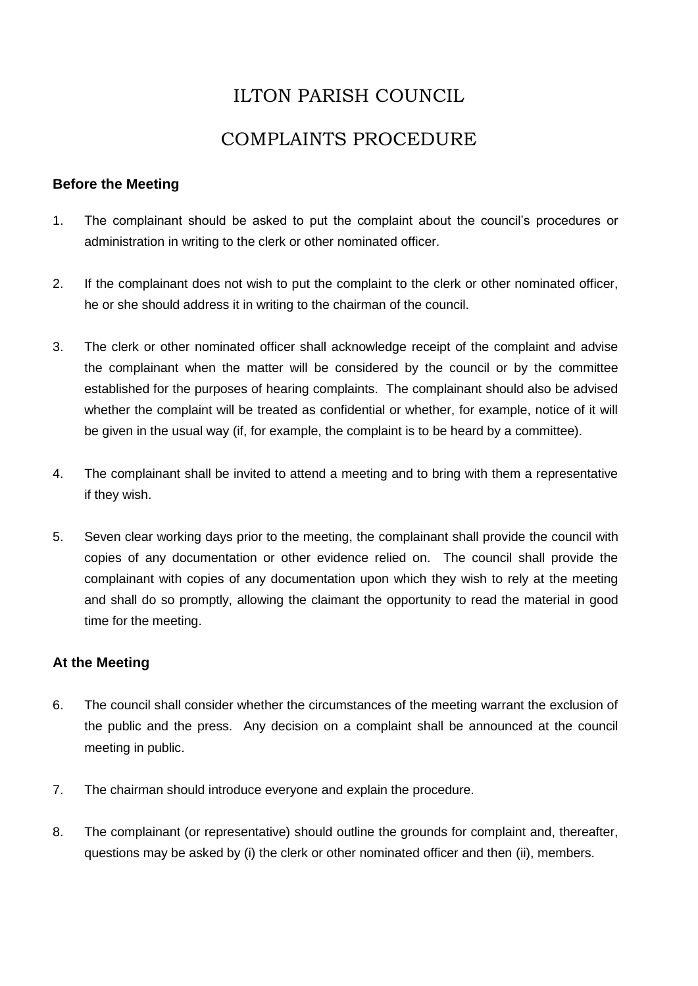# ILTON PARISH COUNCIL

## COMPLAINTS PROCEDURE

#### **Before the Meeting**

- 1. The complainant should be asked to put the complaint about the council's procedures or administration in writing to the clerk or other nominated officer.
- 2. If the complainant does not wish to put the complaint to the clerk or other nominated officer, he or she should address it in writing to the chairman of the council.
- 3. The clerk or other nominated officer shall acknowledge receipt of the complaint and advise the complainant when the matter will be considered by the council or by the committee established for the purposes of hearing complaints. The complainant should also be advised whether the complaint will be treated as confidential or whether, for example, notice of it will be given in the usual way (if, for example, the complaint is to be heard by a committee).
- 4. The complainant shall be invited to attend a meeting and to bring with them a representative if they wish.
- 5. Seven clear working days prior to the meeting, the complainant shall provide the council with copies of any documentation or other evidence relied on. The council shall provide the complainant with copies of any documentation upon which they wish to rely at the meeting and shall do so promptly, allowing the claimant the opportunity to read the material in good time for the meeting.

## **At the Meeting**

- 6. The council shall consider whether the circumstances of the meeting warrant the exclusion of the public and the press. Any decision on a complaint shall be announced at the council meeting in public.
- 7. The chairman should introduce everyone and explain the procedure.
- 8. The complainant (or representative) should outline the grounds for complaint and, thereafter, questions may be asked by (i) the clerk or other nominated officer and then (ii), members.